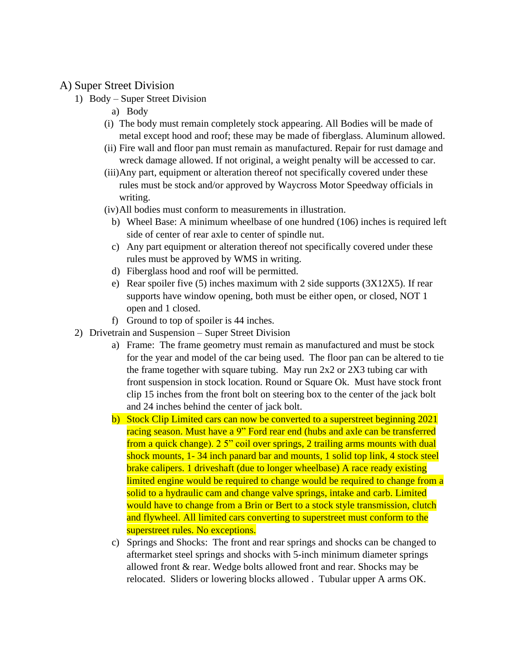## A) Super Street Division

- 1) Body Super Street Division
	- a) Body
	- (i) The body must remain completely stock appearing. All Bodies will be made of metal except hood and roof; these may be made of fiberglass. Aluminum allowed.
	- (ii) Fire wall and floor pan must remain as manufactured. Repair for rust damage and wreck damage allowed. If not original, a weight penalty will be accessed to car.
	- (iii)Any part, equipment or alteration thereof not specifically covered under these rules must be stock and/or approved by Waycross Motor Speedway officials in writing.
	- (iv)All bodies must conform to measurements in illustration.
		- b) Wheel Base: A minimum wheelbase of one hundred (106) inches is required left side of center of rear axle to center of spindle nut.
		- c) Any part equipment or alteration thereof not specifically covered under these rules must be approved by WMS in writing.
		- d) Fiberglass hood and roof will be permitted.
		- e) Rear spoiler five (5) inches maximum with 2 side supports  $(3X12X5)$ . If rear supports have window opening, both must be either open, or closed, NOT 1 open and 1 closed.
		- f) Ground to top of spoiler is 44 inches.
- 2) Drivetrain and Suspension Super Street Division
	- a) Frame: The frame geometry must remain as manufactured and must be stock for the year and model of the car being used. The floor pan can be altered to tie the frame together with square tubing. May run 2x2 or 2X3 tubing car with front suspension in stock location. Round or Square Ok. Must have stock front clip 15 inches from the front bolt on steering box to the center of the jack bolt and 24 inches behind the center of jack bolt.
	- b) Stock Clip Limited cars can now be converted to a superstreet beginning 2021 racing season. Must have a 9" Ford rear end (hubs and axle can be transferred from a quick change). 2 5" coil over springs, 2 trailing arms mounts with dual shock mounts, 1- 34 inch panard bar and mounts, 1 solid top link, 4 stock steel brake calipers. 1 driveshaft (due to longer wheelbase) A race ready existing limited engine would be required to change would be required to change from a solid to a hydraulic cam and change valve springs, intake and carb. Limited would have to change from a Brin or Bert to a stock style transmission, clutch and flywheel. All limited cars converting to superstreet must conform to the superstreet rules. No exceptions.
	- c) Springs and Shocks: The front and rear springs and shocks can be changed to aftermarket steel springs and shocks with 5-inch minimum diameter springs allowed front & rear. Wedge bolts allowed front and rear. Shocks may be relocated. Sliders or lowering blocks allowed . Tubular upper A arms OK.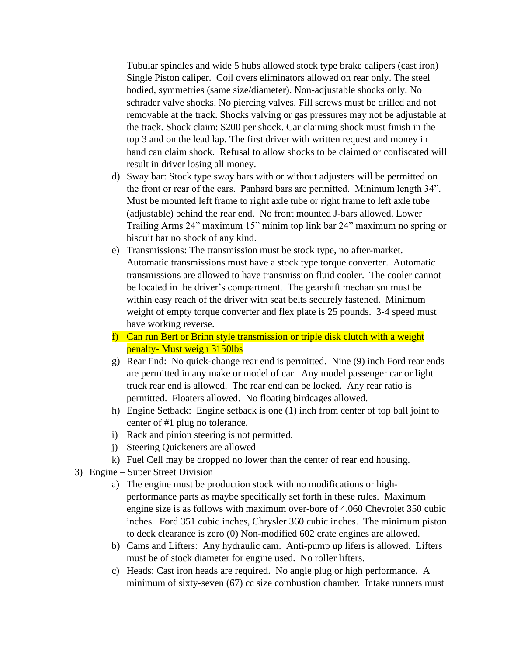Tubular spindles and wide 5 hubs allowed stock type brake calipers (cast iron) Single Piston caliper. Coil overs eliminators allowed on rear only. The steel bodied, symmetries (same size/diameter). Non-adjustable shocks only. No schrader valve shocks. No piercing valves. Fill screws must be drilled and not removable at the track. Shocks valving or gas pressures may not be adjustable at the track. Shock claim: \$200 per shock. Car claiming shock must finish in the top 3 and on the lead lap. The first driver with written request and money in hand can claim shock. Refusal to allow shocks to be claimed or confiscated will result in driver losing all money.

- d) Sway bar: Stock type sway bars with or without adjusters will be permitted on the front or rear of the cars. Panhard bars are permitted. Minimum length 34". Must be mounted left frame to right axle tube or right frame to left axle tube (adjustable) behind the rear end. No front mounted J-bars allowed. Lower Trailing Arms 24" maximum 15" minim top link bar 24" maximum no spring or biscuit bar no shock of any kind.
- e) Transmissions: The transmission must be stock type, no after-market. Automatic transmissions must have a stock type torque converter. Automatic transmissions are allowed to have transmission fluid cooler. The cooler cannot be located in the driver's compartment. The gearshift mechanism must be within easy reach of the driver with seat belts securely fastened. Minimum weight of empty torque converter and flex plate is 25 pounds. 3-4 speed must have working reverse.
- f) Can run Bert or Brinn style transmission or triple disk clutch with a weight penalty- Must weigh 3150lbs
- g) Rear End: No quick-change rear end is permitted. Nine (9) inch Ford rear ends are permitted in any make or model of car. Any model passenger car or light truck rear end is allowed. The rear end can be locked. Any rear ratio is permitted. Floaters allowed. No floating birdcages allowed.
- h) Engine Setback: Engine setback is one (1) inch from center of top ball joint to center of #1 plug no tolerance.
- i) Rack and pinion steering is not permitted.
- j) Steering Quickeners are allowed
- k) Fuel Cell may be dropped no lower than the center of rear end housing.
- 3) Engine Super Street Division
	- a) The engine must be production stock with no modifications or highperformance parts as maybe specifically set forth in these rules. Maximum engine size is as follows with maximum over-bore of 4.060 Chevrolet 350 cubic inches. Ford 351 cubic inches, Chrysler 360 cubic inches. The minimum piston to deck clearance is zero (0) Non-modified 602 crate engines are allowed.
	- b) Cams and Lifters: Any hydraulic cam. Anti-pump up lifers is allowed. Lifters must be of stock diameter for engine used. No roller lifters.
	- c) Heads: Cast iron heads are required. No angle plug or high performance. A minimum of sixty-seven (67) cc size combustion chamber. Intake runners must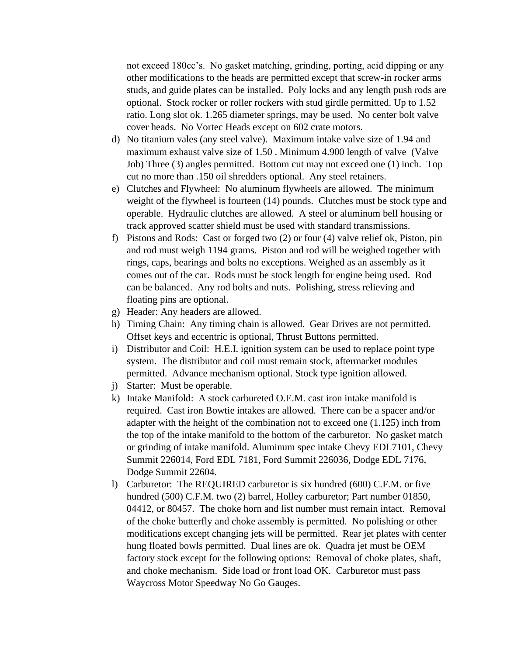not exceed 180cc's. No gasket matching, grinding, porting, acid dipping or any other modifications to the heads are permitted except that screw-in rocker arms studs, and guide plates can be installed. Poly locks and any length push rods are optional. Stock rocker or roller rockers with stud girdle permitted. Up to 1.52 ratio. Long slot ok. 1.265 diameter springs, may be used. No center bolt valve cover heads. No Vortec Heads except on 602 crate motors.

- d) No titanium vales (any steel valve). Maximum intake valve size of 1.94 and maximum exhaust valve size of 1.50 . Minimum 4.900 length of valve (Valve Job) Three (3) angles permitted. Bottom cut may not exceed one (1) inch. Top cut no more than .150 oil shredders optional. Any steel retainers.
- e) Clutches and Flywheel: No aluminum flywheels are allowed. The minimum weight of the flywheel is fourteen (14) pounds. Clutches must be stock type and operable. Hydraulic clutches are allowed. A steel or aluminum bell housing or track approved scatter shield must be used with standard transmissions.
- f) Pistons and Rods: Cast or forged two (2) or four (4) valve relief ok, Piston, pin and rod must weigh 1194 grams. Piston and rod will be weighed together with rings, caps, bearings and bolts no exceptions. Weighed as an assembly as it comes out of the car. Rods must be stock length for engine being used. Rod can be balanced. Any rod bolts and nuts. Polishing, stress relieving and floating pins are optional.
- g) Header: Any headers are allowed.
- h) Timing Chain: Any timing chain is allowed. Gear Drives are not permitted. Offset keys and eccentric is optional, Thrust Buttons permitted.
- i) Distributor and Coil: H.E.I. ignition system can be used to replace point type system. The distributor and coil must remain stock, aftermarket modules permitted. Advance mechanism optional. Stock type ignition allowed.
- j) Starter: Must be operable.
- k) Intake Manifold: A stock carbureted O.E.M. cast iron intake manifold is required. Cast iron Bowtie intakes are allowed. There can be a spacer and/or adapter with the height of the combination not to exceed one (1.125) inch from the top of the intake manifold to the bottom of the carburetor. No gasket match or grinding of intake manifold. Aluminum spec intake Chevy EDL7101, Chevy Summit 226014, Ford EDL 7181, Ford Summit 226036, Dodge EDL 7176, Dodge Summit 22604.
- l) Carburetor: The REQUIRED carburetor is six hundred (600) C.F.M. or five hundred (500) C.F.M. two (2) barrel, Holley carburetor; Part number 01850, 04412, or 80457. The choke horn and list number must remain intact. Removal of the choke butterfly and choke assembly is permitted. No polishing or other modifications except changing jets will be permitted. Rear jet plates with center hung floated bowls permitted. Dual lines are ok. Quadra jet must be OEM factory stock except for the following options: Removal of choke plates, shaft, and choke mechanism. Side load or front load OK. Carburetor must pass Waycross Motor Speedway No Go Gauges.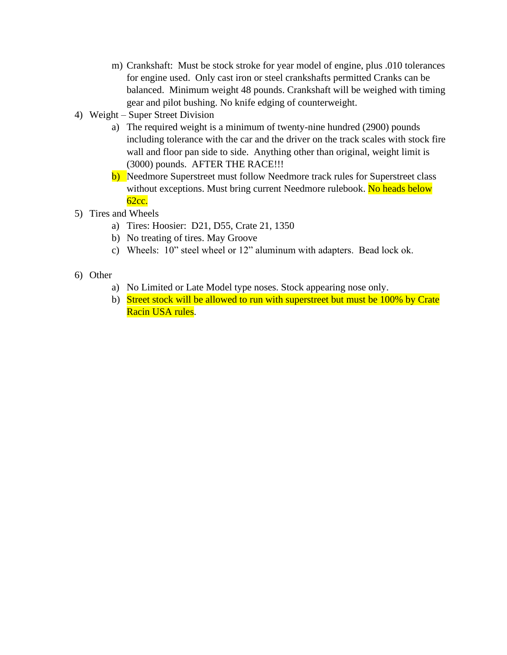- m) Crankshaft: Must be stock stroke for year model of engine, plus .010 tolerances for engine used. Only cast iron or steel crankshafts permitted Cranks can be balanced. Minimum weight 48 pounds. Crankshaft will be weighed with timing gear and pilot bushing. No knife edging of counterweight.
- 4) Weight Super Street Division
	- a) The required weight is a minimum of twenty-nine hundred (2900) pounds including tolerance with the car and the driver on the track scales with stock fire wall and floor pan side to side. Anything other than original, weight limit is (3000) pounds. AFTER THE RACE!!!
	- b) Needmore Superstreet must follow Needmore track rules for Superstreet class without exceptions. Must bring current Needmore rulebook. No heads below 62cc.
- 5) Tires and Wheels
	- a) Tires: Hoosier: D21, D55, Crate 21, 1350
	- b) No treating of tires. May Groove
	- c) Wheels: 10" steel wheel or 12" aluminum with adapters. Bead lock ok.
- 6) Other
	- a) No Limited or Late Model type noses. Stock appearing nose only.
	- b) Street stock will be allowed to run with superstreet but must be 100% by Crate Racin USA rules.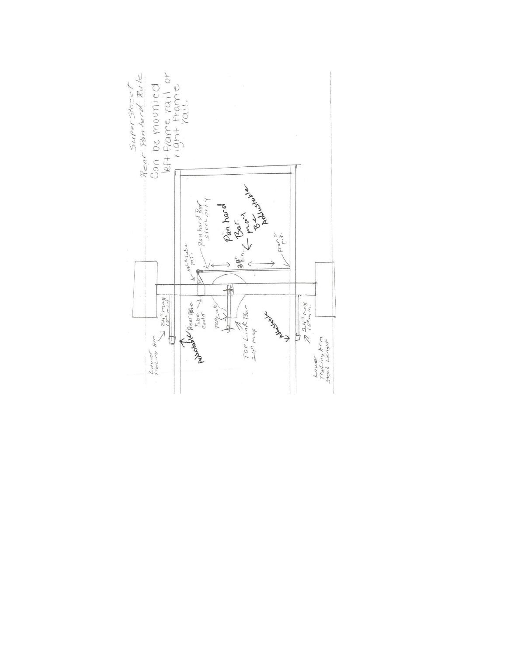